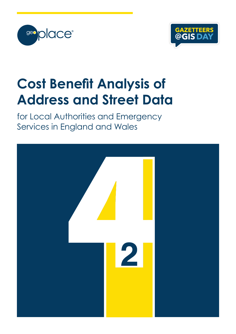



# **Cost Benefit Analysis of Address and Street Data**

for Local Authorities and Emergency Services in England and Wales

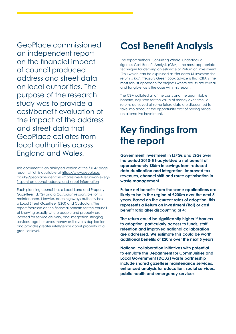GeoPlace commissioned an independent report on the financial impact of council produced address and street data on local authorities. The purpose of the research study was to provide a cost/benefit evaluation of the impact of the address and street data that GeoPlace collates from local authorities across England and Wales.

This document is an abridged version of the full 47 page report which is available at https://www.geoplace. co.uk/-/geoplace-identifies-impressive-4-return-on-every-1-spent-on-council-address-and-street-information

Each planning council has a Local Land and Property Gazetteer (LLPG) and a Custodian responsible for its maintenance. Likewise, each highways authority has a Local Street Gazetteer (LSG) and Custodian. The report focussed on the financial benefits for the council of knowing exactly where people and property are located for service delivery, and integration. Bringing services together saves money as it avoids duplication and provides greater intelligence about property at a granular level.

### **Cost Benefit Analysis**

The report authors, Consulting Where, undertook a rigorous Cost Benefit Analysis (CBA) - the most appropriate technique for deriving an estimate of Return on Investment (RoI) which can be expressed as "for each £1 Invested the return is £xx". Treasury Green Book advice is that CBA is the most robust approach for projects where results are as real and tangible, as is the case with this report.

The CBA collated all of the costs and the quantifiable benefits, adjusted for the value of money over time i.e. returns achieved at some future date are discounted to take into account the opportunity cost of having made an alternative investment.

### **Key findings from the report**

**Government investment in LLPGs and LSGs over the period 2010-5 has yielded a net benefit of approximately £86m in savings from reduced data duplication and integration, improved tax revenues, channel shift and route optimisation in waste management**

**Future net benefits from the same applications are likely to be in the region of £200m over the next 5 years. Based on the current rates of adoption, this represents a Return on Investment (RoI) or cost benefit ratio after discounting of 4:1**

**The return could be significantly higher if barriers to adoption, particularly access to funds, staff retention and improved national collaboration are addressed. We estimate this could be worth additional benefits of £20m over the next 5 years**

**National collaboration initiatives with potential to emulate the Department for Communities and Local Government (DCLG) waste partnership include shared gazetteer maintenance services, enhanced analysis for education, social services, public health and emergency services**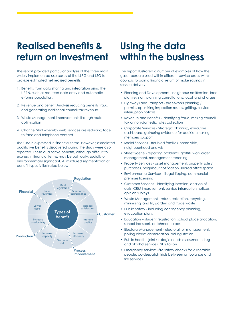### **Realised benefits & return on investment**

The report provided particular analysis of the three most widely implemented use cases of the LLPG and LSG to provide estimated net realised benefits:

- 1. Benefits from data sharing and integration using the UPRN, such as reduced data entry and automatic e-forms population.
- 2. Revenue and Benefit Analysis reducing benefits fraud and generating additional council tax revenue
- 3. Waste Management improvements through route optimisation
- 4. Channel Shift whereby web services are reducing face to face and telephone contact

The CBA is expressed in financial terms. However, associated qualitative benefits discovered during the study were also reported. These qualitative benefits, although difficult to express in financial terms, may be politically, socially or environmentally significant. A structured segmentation of benefit types is illustrated below.



### **Using the data within the business**

The report illustrated a number of examples of how the gazetteers are used within different service areas within councils to gain a financial return or make savings in service delivery.

- Planning and Development neighbour notification, local plan revision, planning consultations, local land charges
- Highways and Transport streetworks planning / permits, optimising inspection routes. gritting, service interruption notices
- Revenue and Benefits Identifying fraud, missing council tax or non-domestic rates collection
- Corporate Services Strategic planning, executive dashboard, gathering evidence for decision making, members support
- Social Services troubled families, home visits, neighbourhood analysis
- Street Scene reporting problems, graffiti, work order management, management reporting
- Property Services asset management, property sale / purchases, neighbour notification, shared office space
- Environmental Services illegal tipping, commercial premises licensing
- Customer Services identifying location, analysis of calls, CRM improvement, service interruption notices, opinion surveys
- Waste Management refuse collection, recycling, minimising land fill, garden and trade waste
- Public Safety including contingency planning, evacuation plans
- Education student registration, school place allocation, school transport, catchment areas
- Electoral Management electoral roll management, polling district demarcation, polling station
- Public health joint strategic needs assessment, drug and alcohol services, NHS liaison
- Emergency services -fire safety checks for vulnerable people. co-despatch trials between ambulance and fire services